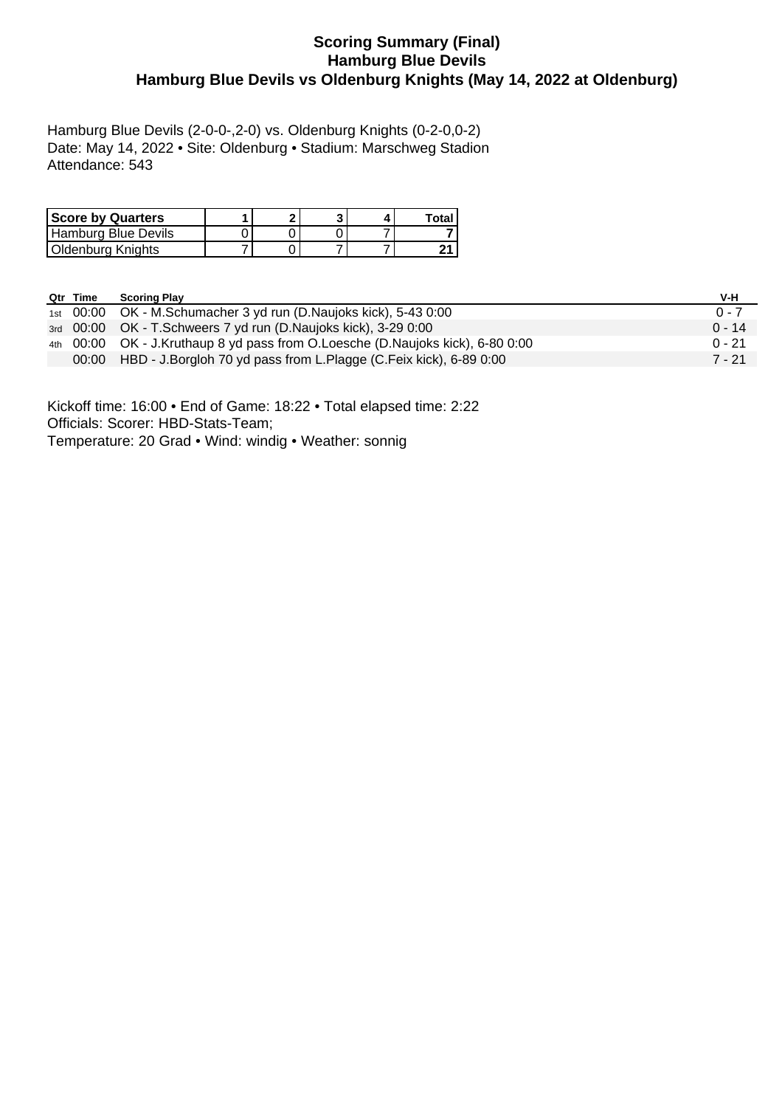# **Scoring Summary (Final) Hamburg Blue Devils Hamburg Blue Devils vs Oldenburg Knights (May 14, 2022 at Oldenburg)**

Hamburg Blue Devils (2-0-0-,2-0) vs. Oldenburg Knights (0-2-0,0-2) Date: May 14, 2022 • Site: Oldenburg • Stadium: Marschweg Stadion Attendance: 543

| <b>Score by Quarters</b> | ົ |  | Total |
|--------------------------|---|--|-------|
| Hamburg Blue Devils      |   |  |       |
| Oldenburg Knights        |   |  |       |

| Qtr Time | <b>Scoring Play</b>                                                            | V-H      |
|----------|--------------------------------------------------------------------------------|----------|
|          | 1st 00:00 OK - M.Schumacher 3 yd run (D.Naujoks kick), 5-43 0:00               | $0 - 7$  |
|          | 3rd 00:00 OK - T.Schweers 7 yd run (D.Naujoks kick), 3-29 0:00                 | $0 - 14$ |
|          | 4th 00:00 OK - J.Kruthaup 8 yd pass from O.Loesche (D.Naujoks kick), 6-80 0:00 | $0 - 21$ |
|          | 00:00 HBD - J.Borgloh 70 yd pass from L.Plagge (C.Feix kick), 6-89 0:00        | 7 - 21   |

Kickoff time: 16:00 • End of Game: 18:22 • Total elapsed time: 2:22 Officials: Scorer: HBD-Stats-Team; Temperature: 20 Grad • Wind: windig • Weather: sonnig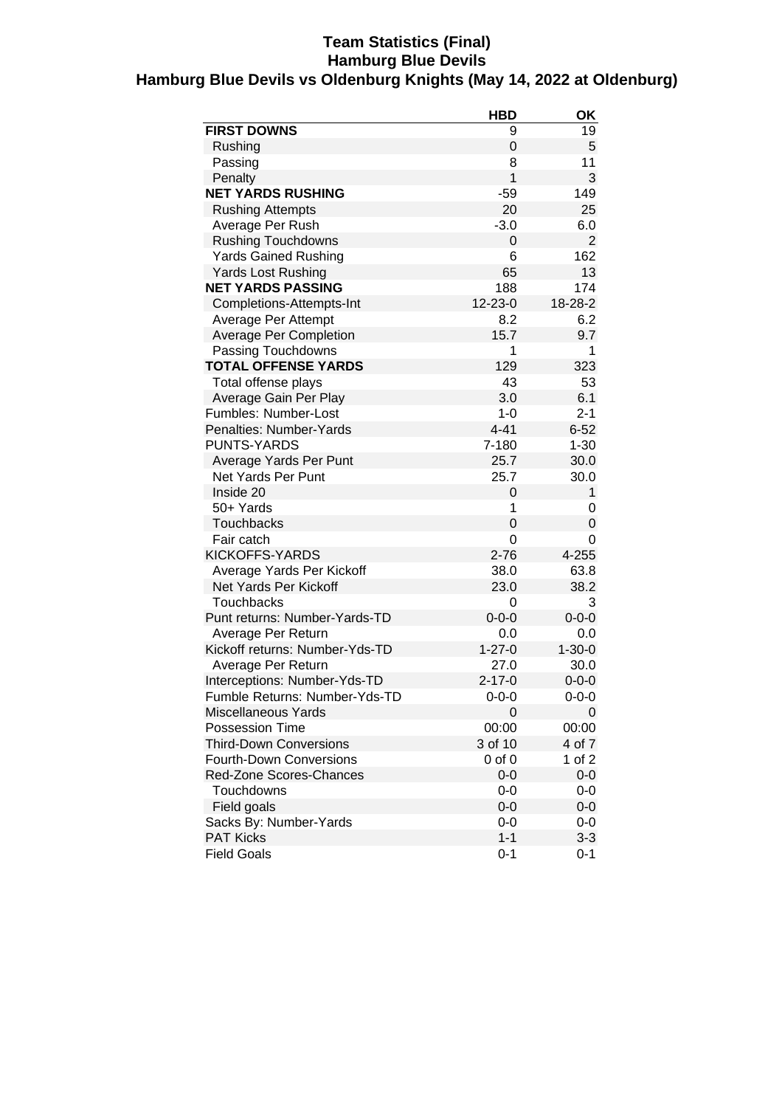## **Team Statistics (Final) Hamburg Blue Devils Hamburg Blue Devils vs Oldenburg Knights (May 14, 2022 at Oldenburg)**

|                                | <b>HBD</b>   | ΟK             |
|--------------------------------|--------------|----------------|
| <b>FIRST DOWNS</b>             | 9            | 19             |
| Rushing                        | 0            | 5              |
| Passing                        | 8            | 11             |
| Penalty                        | 1            | 3              |
| <b>NET YARDS RUSHING</b>       | $-59$        | 149            |
| <b>Rushing Attempts</b>        | 20           | 25             |
| Average Per Rush               | $-3.0$       | 6.0            |
| <b>Rushing Touchdowns</b>      | 0            | $\overline{2}$ |
| <b>Yards Gained Rushing</b>    | 6            | 162            |
| <b>Yards Lost Rushing</b>      | 65           | 13             |
| <b>NET YARDS PASSING</b>       | 188          | 174            |
| Completions-Attempts-Int       | 12-23-0      | 18-28-2        |
| Average Per Attempt            | 8.2          | 6.2            |
| <b>Average Per Completion</b>  | 15.7         | 9.7            |
| Passing Touchdowns             | 1            | 1              |
| <b>TOTAL OFFENSE YARDS</b>     | 129          | 323            |
| Total offense plays            | 43           | 53             |
| Average Gain Per Play          | 3.0          | 6.1            |
| Fumbles: Number-Lost           | $1 - 0$      | $2 - 1$        |
| Penalties: Number-Yards        | $4 - 41$     | $6 - 52$       |
| <b>PUNTS-YARDS</b>             | 7-180        | $1 - 30$       |
| Average Yards Per Punt         | 25.7         | 30.0           |
| <b>Net Yards Per Punt</b>      | 25.7         | 30.0           |
| Inside 20                      | 0            | 1              |
| 50+ Yards                      | 1            | 0              |
| <b>Touchbacks</b>              | 0            | 0              |
| Fair catch                     | 0            | 0              |
| KICKOFFS-YARDS                 | $2 - 76$     | 4-255          |
| Average Yards Per Kickoff      | 38.0         | 63.8           |
| Net Yards Per Kickoff          | 23.0         | 38.2           |
| <b>Touchbacks</b>              | 0            | 3              |
| Punt returns: Number-Yards-TD  | $0 - 0 - 0$  | $0 - 0 - 0$    |
| Average Per Return             | 0.0          | 0.0            |
| Kickoff returns: Number-Yds-TD | $1 - 27 - 0$ | $1 - 30 - 0$   |
| Average Per Return             | 27.0         | 30.0           |
| Interceptions: Number-Yds-TD   | $2 - 17 - 0$ | $0 - 0 - 0$    |
| Fumble Returns: Number-Yds-TD  | $0 - 0 - 0$  | 0-0-0          |
| <b>Miscellaneous Yards</b>     | 0            | 0              |
| <b>Possession Time</b>         | 00:00        | 00:00          |
| <b>Third-Down Conversions</b>  | 3 of 10      | 4 of 7         |
| <b>Fourth-Down Conversions</b> | 0 of 0       | 1 of 2         |
| Red-Zone Scores-Chances        | $0-0$        | $0-0$          |
| Touchdowns                     | $0-0$        | 0-0            |
| Field goals                    | $0 - 0$      | 0-0            |
| Sacks By: Number-Yards         | $0-0$        | 0-0            |
| <b>PAT Kicks</b>               | $1 - 1$      | $3 - 3$        |
| <b>Field Goals</b>             | $0 - 1$      | $0 - 1$        |
|                                |              |                |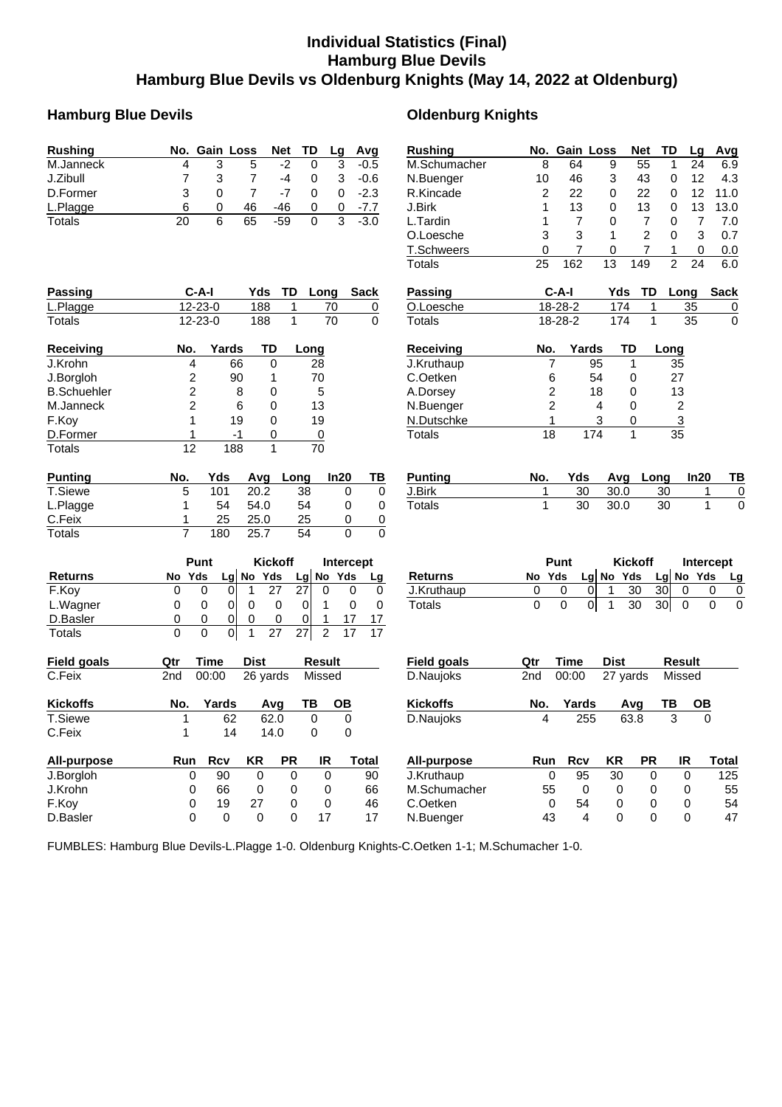# **Individual Statistics (Final) Hamburg Blue Devils Hamburg Blue Devils vs Oldenburg Knights (May 14, 2022 at Oldenburg)**

## **Hamburg Blue Devils Oldenburg Knights**

#### **Rushing No. Gain Loss Net TD Lg Avg** M.Janneck 4 3 5 -2 0 3 -0.5 J.Zibull 7 3 7 -4 0 3 -0.6 D.Former 3 0 7 -7 0 0 -2.3 L.Plagge 6 0 46 -46 0 0 -7.7 Totals 20 6 65 -59 0 3 -3.0 **Rushing No. Gain Loss Net TD Lg Avg** M.Schumacher 8 64 9 55 1 24 6.9 N.Buenger 10 46 3 43 0 12 4.3 R.Kincade 2 22 0 22 0 12 11.0 J.Birk 1 13 0 13 0 13 13.0 L.Tardin 1 7 0 7 0 7 7.0 O.Loesche 3 3 1 2 0 3 0.7 T.Schweers 0 7 0 7 1 0 0.0 Totals 25 162 13 149 2 24 6.0 **Passing C-A-I Yds TD Long Sack** L.Plagge 12-23-0 188 1 70 0 Totals 12-23-0 188 1 70 0 **Passing C-A-I Yds TD Long Sack** O.Loesche 18-28-2 174 1 35 0 Totals 18-28-2 174 1 35 0 **Receiving No. Yards TD Long** J.Krohn 4 66 0 28 J.Borgloh 2 90 1 B.Schuehler 2 8 0 5 M.Janneck 2 6 0 13 F.Koy 1 19 0 19 <u>D.Former 1 -1 0 0</u><br>Totals 12 188 1 70 Totals 12 188 1 **Receiving No. Yards TD Long** J.Kruthaup 7 95 1 35 C.Oetken 6 54 0 A.Dorsey 2 18 0 13 N.Buenger 2 4 0 2 N.Dutschke 1 3 0 3 Totals 18 174 1 35 **Punting No. Yds Avg Long In20 TB** T.Siewe 5 101 20.2 38 0 0 L.Plagge 1 54 54.0 54 0 0 C.Feix 1 25 25.0 25 0 0 Totals 7 180 25.7 54 0 0 **Punting No. Yds Avg Long In20 TB** J.Birk 1 30 30.0 30 1 0 Totals 1 30 30.0 30 1 0 **Punt Kickoff Intercept Returns No Yds Lg No Yds Lg No Yds Lg** F.Koy 0 0 0 1 27 27 0 0 0 L.Wagner  $\begin{array}{ccccccccc} 0 & 0 & 0 & 0 & 0 & 1 & 0 & 0 \end{array}$ D.Basler 0 0 0 0 0 0 1 17 17 Totals 0 0 0 1 27 27 2 17 17 **Punt Kickoff Intercept**<br>
<u>Yds Lg No Yds Lg</u> No Yds L **Returns No Yds Lg No Yds Lg No Yds Lg** J.Kruthaup 0 0 0 1 30 30 0 0 0 Totals 0 0 0 1 30 30 0 0 0 **Field goals Qtr Time Dist Result** C.Feix 2nd 00:00 26 yards Missed **Field goals Qtr Time Dist Result** D.Naujoks 2nd 00:00 27 yards Missed **Kickoffs No. Yards Avg TB OB** T.Siewe 1 62 62.0 0 0<br>C.Feix 1 14 14.0 0 0 C.Feix 1 14 14.0 0 0 **Kickoffs No. Yards Avg TB OB** D.Naujoks 4 255 63.8 3 0 **All-purpose Run Rcv KR PR IR Total** J.Borgloh 0 90 0 0 0 90 J.Krohn 0 66 0 0 0 66 F.Koy 0 19 27 0 0 46 D.Basler 0 0 0 0 17 17 **All-purpose Run Rcv KR PR IR Total** J.Kruthaup 0 95 30 0 0 125 M.Schumacher 55 0 0 0 0 55 C.Oetken 0 54 0 0 0 54 N.Buenger 43 4 0 0 0 47

FUMBLES: Hamburg Blue Devils-L.Plagge 1-0. Oldenburg Knights-C.Oetken 1-1; M.Schumacher 1-0.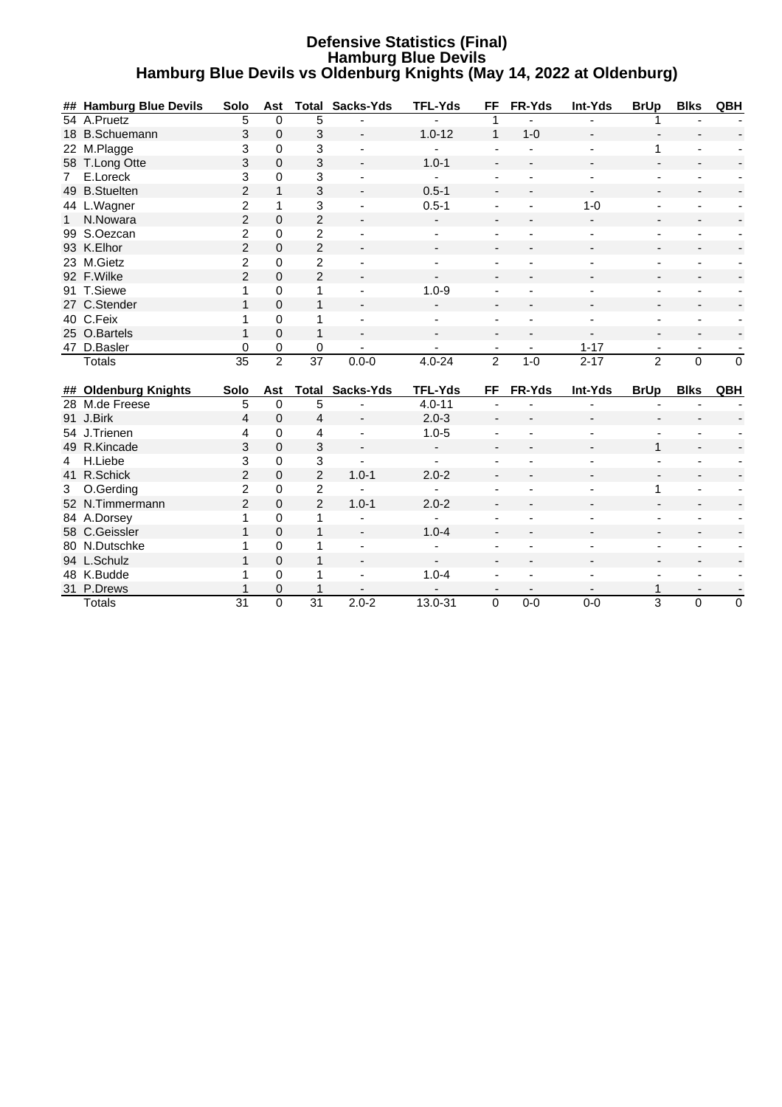### **Defensive Statistics (Final) Hamburg Blue Devils Hamburg Blue Devils vs Oldenburg Knights (May 14, 2022 at Oldenburg)**

| ## Hamburg Blue Devils<br><b>Total Sacks-Yds</b><br>54 A.Pruetz<br>5<br>$\Omega$<br>5<br>3<br>$\Omega$<br>3<br>$\mathbf{1}$<br>18 B.Schuemann<br>$1.0 - 12$<br>$1 - 0$<br>22 M.Plagge<br>3<br>$\Omega$<br>3<br>1<br>3<br>3<br>58 T.Long Otte<br>$\Omega$<br>$1.0 - 1$<br>3<br>E.Loreck<br>3<br>0<br>$\overline{7}$<br>$\blacksquare$<br>$\overline{2}$<br>3<br>49 B.Stuelten<br>$\mathbf{1}$<br>$0.5 - 1$<br>$\overline{\phantom{a}}$<br>$\overline{c}$<br>3<br>44 L.Wagner<br>$0.5 - 1$<br>$1 - 0$<br>1<br>÷,<br>$\overline{2}$<br>$\overline{2}$<br>N.Nowara<br>$\Omega$<br>1<br>$\overline{c}$<br>99 S.Oezcan<br>$\overline{c}$<br>0<br>÷,<br>÷,<br>٠<br>$\overline{2}$<br>$\overline{2}$<br>93 K.Elhor<br>$\Omega$<br>23 M.Gietz<br>$\overline{c}$<br>$\overline{2}$<br>0<br>$\blacksquare$<br>$\overline{2}$<br>$\overline{2}$<br>92 F.Wilke<br>$\Omega$<br>91 T.Siewe<br>$1.0 - 9$<br>$\Omega$<br>1<br>1<br>27 C.Stender<br>$\mathbf{1}$<br>$\Omega$<br>1<br>40 C.Feix<br>0<br>$\mathbf{1}$<br>1<br>$\overline{\phantom{a}}$<br>$\Omega$<br>25 O.Bartels<br>$\mathbf{1}$<br>$\mathbf{1}$<br>47 D.Basler<br>0<br>0<br>0<br>$1 - 17$<br>$\overline{2}$<br>$\overline{2}$<br>$\overline{2}$<br>$\overline{35}$<br>$\overline{37}$<br>$0.0 - 0$<br>$2 - 17$<br>0<br>$\mathbf 0$<br>$4.0 - 24$<br>$1 - 0$<br><b>Totals</b><br>Sacks-Yds<br><b>TFL-Yds</b><br>FR-Yds<br>Int-Yds<br><b>Blks</b><br>QBH<br>## Oldenburg Knights<br>Solo<br>Total<br>FF<br><b>BrUp</b><br>Ast<br>5<br>28 M.de Freese<br>5<br>$\mathbf 0$<br>$4.0 - 11$<br>91 J.Birk<br>4<br>$\mathbf 0$<br>$\overline{4}$<br>$2.0 - 3$<br>$\blacksquare$<br>54 J.Trienen<br>$1.0 - 5$<br>4<br>0<br>4<br>3<br>$\mathbf 0$<br>3<br>49 R.Kincade<br>1<br>$\overline{\phantom{0}}$ |   |         |      |             |   |                |    |        |         |             |             |     |
|---------------------------------------------------------------------------------------------------------------------------------------------------------------------------------------------------------------------------------------------------------------------------------------------------------------------------------------------------------------------------------------------------------------------------------------------------------------------------------------------------------------------------------------------------------------------------------------------------------------------------------------------------------------------------------------------------------------------------------------------------------------------------------------------------------------------------------------------------------------------------------------------------------------------------------------------------------------------------------------------------------------------------------------------------------------------------------------------------------------------------------------------------------------------------------------------------------------------------------------------------------------------------------------------------------------------------------------------------------------------------------------------------------------------------------------------------------------------------------------------------------------------------------------------------------------------------------------------------------------------------------------------------------------------------------------------------------------------------------------------|---|---------|------|-------------|---|----------------|----|--------|---------|-------------|-------------|-----|
|                                                                                                                                                                                                                                                                                                                                                                                                                                                                                                                                                                                                                                                                                                                                                                                                                                                                                                                                                                                                                                                                                                                                                                                                                                                                                                                                                                                                                                                                                                                                                                                                                                                                                                                                             |   |         | Solo | Ast         |   | <b>TFL-Yds</b> | FF | FR-Yds | Int-Yds | <b>BrUp</b> | <b>Blks</b> | QBH |
|                                                                                                                                                                                                                                                                                                                                                                                                                                                                                                                                                                                                                                                                                                                                                                                                                                                                                                                                                                                                                                                                                                                                                                                                                                                                                                                                                                                                                                                                                                                                                                                                                                                                                                                                             |   |         |      |             |   |                |    |        |         |             |             |     |
|                                                                                                                                                                                                                                                                                                                                                                                                                                                                                                                                                                                                                                                                                                                                                                                                                                                                                                                                                                                                                                                                                                                                                                                                                                                                                                                                                                                                                                                                                                                                                                                                                                                                                                                                             |   |         |      |             |   |                |    |        |         |             |             |     |
|                                                                                                                                                                                                                                                                                                                                                                                                                                                                                                                                                                                                                                                                                                                                                                                                                                                                                                                                                                                                                                                                                                                                                                                                                                                                                                                                                                                                                                                                                                                                                                                                                                                                                                                                             |   |         |      |             |   |                |    |        |         |             |             |     |
|                                                                                                                                                                                                                                                                                                                                                                                                                                                                                                                                                                                                                                                                                                                                                                                                                                                                                                                                                                                                                                                                                                                                                                                                                                                                                                                                                                                                                                                                                                                                                                                                                                                                                                                                             |   |         |      |             |   |                |    |        |         |             |             |     |
|                                                                                                                                                                                                                                                                                                                                                                                                                                                                                                                                                                                                                                                                                                                                                                                                                                                                                                                                                                                                                                                                                                                                                                                                                                                                                                                                                                                                                                                                                                                                                                                                                                                                                                                                             |   |         |      |             |   |                |    |        |         |             |             |     |
|                                                                                                                                                                                                                                                                                                                                                                                                                                                                                                                                                                                                                                                                                                                                                                                                                                                                                                                                                                                                                                                                                                                                                                                                                                                                                                                                                                                                                                                                                                                                                                                                                                                                                                                                             |   |         |      |             |   |                |    |        |         |             |             |     |
|                                                                                                                                                                                                                                                                                                                                                                                                                                                                                                                                                                                                                                                                                                                                                                                                                                                                                                                                                                                                                                                                                                                                                                                                                                                                                                                                                                                                                                                                                                                                                                                                                                                                                                                                             |   |         |      |             |   |                |    |        |         |             |             |     |
|                                                                                                                                                                                                                                                                                                                                                                                                                                                                                                                                                                                                                                                                                                                                                                                                                                                                                                                                                                                                                                                                                                                                                                                                                                                                                                                                                                                                                                                                                                                                                                                                                                                                                                                                             |   |         |      |             |   |                |    |        |         |             |             |     |
|                                                                                                                                                                                                                                                                                                                                                                                                                                                                                                                                                                                                                                                                                                                                                                                                                                                                                                                                                                                                                                                                                                                                                                                                                                                                                                                                                                                                                                                                                                                                                                                                                                                                                                                                             |   |         |      |             |   |                |    |        |         |             |             |     |
|                                                                                                                                                                                                                                                                                                                                                                                                                                                                                                                                                                                                                                                                                                                                                                                                                                                                                                                                                                                                                                                                                                                                                                                                                                                                                                                                                                                                                                                                                                                                                                                                                                                                                                                                             |   |         |      |             |   |                |    |        |         |             |             |     |
|                                                                                                                                                                                                                                                                                                                                                                                                                                                                                                                                                                                                                                                                                                                                                                                                                                                                                                                                                                                                                                                                                                                                                                                                                                                                                                                                                                                                                                                                                                                                                                                                                                                                                                                                             |   |         |      |             |   |                |    |        |         |             |             |     |
|                                                                                                                                                                                                                                                                                                                                                                                                                                                                                                                                                                                                                                                                                                                                                                                                                                                                                                                                                                                                                                                                                                                                                                                                                                                                                                                                                                                                                                                                                                                                                                                                                                                                                                                                             |   |         |      |             |   |                |    |        |         |             |             |     |
|                                                                                                                                                                                                                                                                                                                                                                                                                                                                                                                                                                                                                                                                                                                                                                                                                                                                                                                                                                                                                                                                                                                                                                                                                                                                                                                                                                                                                                                                                                                                                                                                                                                                                                                                             |   |         |      |             |   |                |    |        |         |             |             |     |
|                                                                                                                                                                                                                                                                                                                                                                                                                                                                                                                                                                                                                                                                                                                                                                                                                                                                                                                                                                                                                                                                                                                                                                                                                                                                                                                                                                                                                                                                                                                                                                                                                                                                                                                                             |   |         |      |             |   |                |    |        |         |             |             |     |
|                                                                                                                                                                                                                                                                                                                                                                                                                                                                                                                                                                                                                                                                                                                                                                                                                                                                                                                                                                                                                                                                                                                                                                                                                                                                                                                                                                                                                                                                                                                                                                                                                                                                                                                                             |   |         |      |             |   |                |    |        |         |             |             |     |
|                                                                                                                                                                                                                                                                                                                                                                                                                                                                                                                                                                                                                                                                                                                                                                                                                                                                                                                                                                                                                                                                                                                                                                                                                                                                                                                                                                                                                                                                                                                                                                                                                                                                                                                                             |   |         |      |             |   |                |    |        |         |             |             |     |
|                                                                                                                                                                                                                                                                                                                                                                                                                                                                                                                                                                                                                                                                                                                                                                                                                                                                                                                                                                                                                                                                                                                                                                                                                                                                                                                                                                                                                                                                                                                                                                                                                                                                                                                                             |   |         |      |             |   |                |    |        |         |             |             |     |
|                                                                                                                                                                                                                                                                                                                                                                                                                                                                                                                                                                                                                                                                                                                                                                                                                                                                                                                                                                                                                                                                                                                                                                                                                                                                                                                                                                                                                                                                                                                                                                                                                                                                                                                                             |   |         |      |             |   |                |    |        |         |             |             |     |
|                                                                                                                                                                                                                                                                                                                                                                                                                                                                                                                                                                                                                                                                                                                                                                                                                                                                                                                                                                                                                                                                                                                                                                                                                                                                                                                                                                                                                                                                                                                                                                                                                                                                                                                                             |   |         |      |             |   |                |    |        |         |             |             |     |
|                                                                                                                                                                                                                                                                                                                                                                                                                                                                                                                                                                                                                                                                                                                                                                                                                                                                                                                                                                                                                                                                                                                                                                                                                                                                                                                                                                                                                                                                                                                                                                                                                                                                                                                                             |   |         |      |             |   |                |    |        |         |             |             |     |
|                                                                                                                                                                                                                                                                                                                                                                                                                                                                                                                                                                                                                                                                                                                                                                                                                                                                                                                                                                                                                                                                                                                                                                                                                                                                                                                                                                                                                                                                                                                                                                                                                                                                                                                                             |   |         |      |             |   |                |    |        |         |             |             |     |
|                                                                                                                                                                                                                                                                                                                                                                                                                                                                                                                                                                                                                                                                                                                                                                                                                                                                                                                                                                                                                                                                                                                                                                                                                                                                                                                                                                                                                                                                                                                                                                                                                                                                                                                                             |   |         |      |             |   |                |    |        |         |             |             |     |
|                                                                                                                                                                                                                                                                                                                                                                                                                                                                                                                                                                                                                                                                                                                                                                                                                                                                                                                                                                                                                                                                                                                                                                                                                                                                                                                                                                                                                                                                                                                                                                                                                                                                                                                                             |   |         |      |             |   |                |    |        |         |             |             |     |
|                                                                                                                                                                                                                                                                                                                                                                                                                                                                                                                                                                                                                                                                                                                                                                                                                                                                                                                                                                                                                                                                                                                                                                                                                                                                                                                                                                                                                                                                                                                                                                                                                                                                                                                                             |   |         |      |             |   |                |    |        |         |             |             |     |
|                                                                                                                                                                                                                                                                                                                                                                                                                                                                                                                                                                                                                                                                                                                                                                                                                                                                                                                                                                                                                                                                                                                                                                                                                                                                                                                                                                                                                                                                                                                                                                                                                                                                                                                                             | 4 | H.Liebe | 3    | $\mathbf 0$ | 3 |                |    |        |         |             |             |     |
| $\overline{2}$<br>$\overline{2}$<br>41 R.Schick<br>$1.0 - 1$<br>$\Omega$<br>$2.0 - 2$                                                                                                                                                                                                                                                                                                                                                                                                                                                                                                                                                                                                                                                                                                                                                                                                                                                                                                                                                                                                                                                                                                                                                                                                                                                                                                                                                                                                                                                                                                                                                                                                                                                       |   |         |      |             |   |                |    |        |         |             |             |     |
| $\overline{c}$<br>O.Gerding<br>$\overline{2}$<br>3<br>0<br>1<br>٠                                                                                                                                                                                                                                                                                                                                                                                                                                                                                                                                                                                                                                                                                                                                                                                                                                                                                                                                                                                                                                                                                                                                                                                                                                                                                                                                                                                                                                                                                                                                                                                                                                                                           |   |         |      |             |   |                |    |        |         |             |             |     |
| $\overline{2}$<br>2<br>$1.0 - 1$<br>52 N.Timmermann<br>$\Omega$<br>$2.0 - 2$                                                                                                                                                                                                                                                                                                                                                                                                                                                                                                                                                                                                                                                                                                                                                                                                                                                                                                                                                                                                                                                                                                                                                                                                                                                                                                                                                                                                                                                                                                                                                                                                                                                                |   |         |      |             |   |                |    |        |         |             |             |     |
| 84 A.Dorsey<br>1<br>0<br>1<br>ä,<br>۰                                                                                                                                                                                                                                                                                                                                                                                                                                                                                                                                                                                                                                                                                                                                                                                                                                                                                                                                                                                                                                                                                                                                                                                                                                                                                                                                                                                                                                                                                                                                                                                                                                                                                                       |   |         |      |             |   |                |    |        |         |             |             |     |
| 58 C.Geissler<br>$\mathbf{1}$<br>1<br>$\Omega$<br>$1.0 - 4$<br>$\blacksquare$                                                                                                                                                                                                                                                                                                                                                                                                                                                                                                                                                                                                                                                                                                                                                                                                                                                                                                                                                                                                                                                                                                                                                                                                                                                                                                                                                                                                                                                                                                                                                                                                                                                               |   |         |      |             |   |                |    |        |         |             |             |     |
| 80 N.Dutschke<br>$\Omega$<br>1<br>1<br>$\overline{a}$                                                                                                                                                                                                                                                                                                                                                                                                                                                                                                                                                                                                                                                                                                                                                                                                                                                                                                                                                                                                                                                                                                                                                                                                                                                                                                                                                                                                                                                                                                                                                                                                                                                                                       |   |         |      |             |   |                |    |        |         |             |             |     |
| 94 L.Schulz<br>$\mathbf{1}$<br>$\Omega$<br>$\mathbf{1}$<br>$\overline{\phantom{a}}$<br>-                                                                                                                                                                                                                                                                                                                                                                                                                                                                                                                                                                                                                                                                                                                                                                                                                                                                                                                                                                                                                                                                                                                                                                                                                                                                                                                                                                                                                                                                                                                                                                                                                                                    |   |         |      |             |   |                |    |        |         |             |             |     |
| 48 K.Budde<br>$\Omega$<br>$\mathbf{1}$<br>$1.0 - 4$<br>1                                                                                                                                                                                                                                                                                                                                                                                                                                                                                                                                                                                                                                                                                                                                                                                                                                                                                                                                                                                                                                                                                                                                                                                                                                                                                                                                                                                                                                                                                                                                                                                                                                                                                    |   |         |      |             |   |                |    |        |         |             |             |     |
| 31 P.Drews<br>$\mathbf{1}$<br>$\mathbf 0$<br>$\mathbf{1}$<br>1<br>$\overline{\phantom{0}}$                                                                                                                                                                                                                                                                                                                                                                                                                                                                                                                                                                                                                                                                                                                                                                                                                                                                                                                                                                                                                                                                                                                                                                                                                                                                                                                                                                                                                                                                                                                                                                                                                                                  |   |         |      |             |   |                |    |        |         |             |             |     |
| $\overline{0}$<br>$2.0 - 2$<br>13.0-31<br>$\overline{3}$<br>$\overline{31}$<br>$\overline{31}$<br>$\Omega$<br>$0 - 0$<br>$0-0$<br>0<br>$\mathbf 0$<br><b>Totals</b>                                                                                                                                                                                                                                                                                                                                                                                                                                                                                                                                                                                                                                                                                                                                                                                                                                                                                                                                                                                                                                                                                                                                                                                                                                                                                                                                                                                                                                                                                                                                                                         |   |         |      |             |   |                |    |        |         |             |             |     |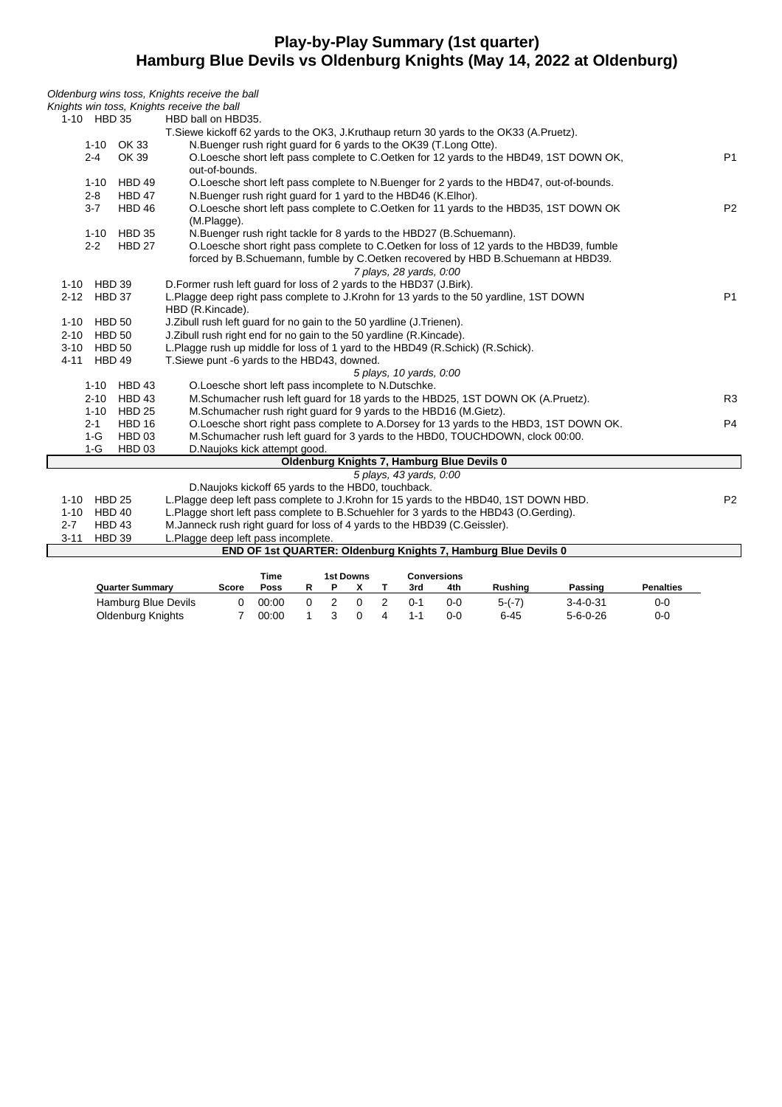# **Play-by-Play Summary (1st quarter) Hamburg Blue Devils vs Oldenburg Knights (May 14, 2022 at Oldenburg)**

| Oldenburg wins toss, Knights receive the ball |                                                                                                          |                |
|-----------------------------------------------|----------------------------------------------------------------------------------------------------------|----------------|
| Knights win toss, Knights receive the ball    |                                                                                                          |                |
| 1-10 HBD 35                                   | HBD ball on HBD35.                                                                                       |                |
|                                               | T. Siewe kickoff 62 yards to the OK3, J. Kruthaup return 30 yards to the OK33 (A. Pruetz).               |                |
| 1-10 OK 33                                    | N.Buenger rush right guard for 6 yards to the OK39 (T.Long Otte).                                        |                |
| OK 39<br>$2 - 4$                              | O.Loesche short left pass complete to C.Oetken for 12 yards to the HBD49, 1ST DOWN OK,<br>out-of-bounds. | <b>P1</b>      |
| HBD 49<br>$1 - 10$                            | O.Loesche short left pass complete to N.Buenger for 2 yards to the HBD47, out-of-bounds.                 |                |
| <b>HBD 47</b><br>$2 - 8$                      | N.Buenger rush right guard for 1 yard to the HBD46 (K.Elhor).                                            |                |
| $3 - 7$<br>HBD 46                             | O.Loesche short left pass complete to C.Oetken for 11 yards to the HBD35, 1ST DOWN OK<br>(M.Plagge).     | P <sub>2</sub> |
| <b>HBD 35</b><br>$1 - 10$                     | N. Buenger rush right tackle for 8 yards to the HBD27 (B. Schuemann).                                    |                |
| $2 - 2$<br><b>HBD 27</b>                      | O.Loesche short right pass complete to C.Oetken for loss of 12 yards to the HBD39, fumble                |                |
|                                               | forced by B.Schuemann, fumble by C.Oetken recovered by HBD B.Schuemann at HBD39.                         |                |
|                                               | 7 plays, 28 yards, 0:00                                                                                  |                |
| 1-10 HBD 39                                   | D. Former rush left guard for loss of 2 yards to the HBD37 (J. Birk).                                    |                |
| 2-12 HBD 37                                   | L.Plagge deep right pass complete to J.Krohn for 13 yards to the 50 yardline, 1ST DOWN                   | <b>P1</b>      |
|                                               | HBD (R.Kincade).                                                                                         |                |
| 1-10 HBD 50                                   | J. Zibull rush left guard for no gain to the 50 yardline (J. Trienen).                                   |                |
| 2-10 HBD 50                                   | J. Zibull rush right end for no gain to the 50 yardline (R. Kincade).                                    |                |
| 3-10 HBD 50                                   | L.Plagge rush up middle for loss of 1 yard to the HBD49 (R.Schick) (R.Schick).                           |                |
| 4-11 HBD 49                                   | T. Siewe punt -6 yards to the HBD43, downed.                                                             |                |
|                                               | 5 plays, 10 yards, 0:00                                                                                  |                |
| HBD 43<br>$1 - 10$                            | O.Loesche short left pass incomplete to N.Dutschke.                                                      |                |
| HBD 43<br>$2 - 10$                            | M.Schumacher rush left guard for 18 yards to the HBD25, 1ST DOWN OK (A.Pruetz).                          | R <sub>3</sub> |
| <b>HBD 25</b><br>$1 - 10$                     | M.Schumacher rush right guard for 9 yards to the HBD16 (M.Gietz).                                        |                |
| <b>HBD 16</b><br>$2 - 1$                      | O.Loesche short right pass complete to A.Dorsey for 13 yards to the HBD3, 1ST DOWN OK.                   | P <sub>4</sub> |
| $1-G$<br>HBD 03                               | M.Schumacher rush left guard for 3 yards to the HBD0, TOUCHDOWN, clock 00:00.                            |                |
| $1-G$<br>HBD 03                               | D.Naujoks kick attempt good.                                                                             |                |
|                                               | Oldenburg Knights 7, Hamburg Blue Devils 0                                                               |                |
|                                               | 5 plays, 43 yards, 0:00                                                                                  |                |
|                                               | D. Naujoks kickoff 65 yards to the HBD0, touchback.                                                      |                |
| 1-10 HBD 25                                   | L.Plagge deep left pass complete to J.Krohn for 15 yards to the HBD40, 1ST DOWN HBD.                     | P <sub>2</sub> |
| 1-10 HBD 40                                   | L.Plagge short left pass complete to B.Schuehler for 3 yards to the HBD43 (O.Gerding).                   |                |
| $2 - 7$<br><b>HBD 43</b>                      | M. Janneck rush right guard for loss of 4 yards to the HBD39 (C. Geissler).                              |                |
| $3 - 11$<br>HBD 39                            | L.Plagge deep left pass incomplete.                                                                      |                |
|                                               | END OF 1st QUARTER: Oldenburg Knights 7, Hamburg Blue Devils 0                                           |                |
|                                               | <b>1st Downs</b><br>Time<br><b>Conversions</b>                                                           |                |

|                        |       | nne   |  | TST DOWNS |         | conversions |          |                  |                  |
|------------------------|-------|-------|--|-----------|---------|-------------|----------|------------------|------------------|
| <b>Quarter Summary</b> | Score | Poss  |  |           | 3rd     | 4th         | Rushina  | Passing          | <b>Penalties</b> |
| Hamburg Blue Devils    |       | 00:00 |  |           | በ-1     | 0-0         | $5-(-7)$ | 3-4-0-31         | 0-С              |
| Oldenburg Knights      |       | 00:00 |  |           | $1 - 1$ | በ-በ         | $6 - 45$ | $5 - 6 - 0 - 26$ | 0-0              |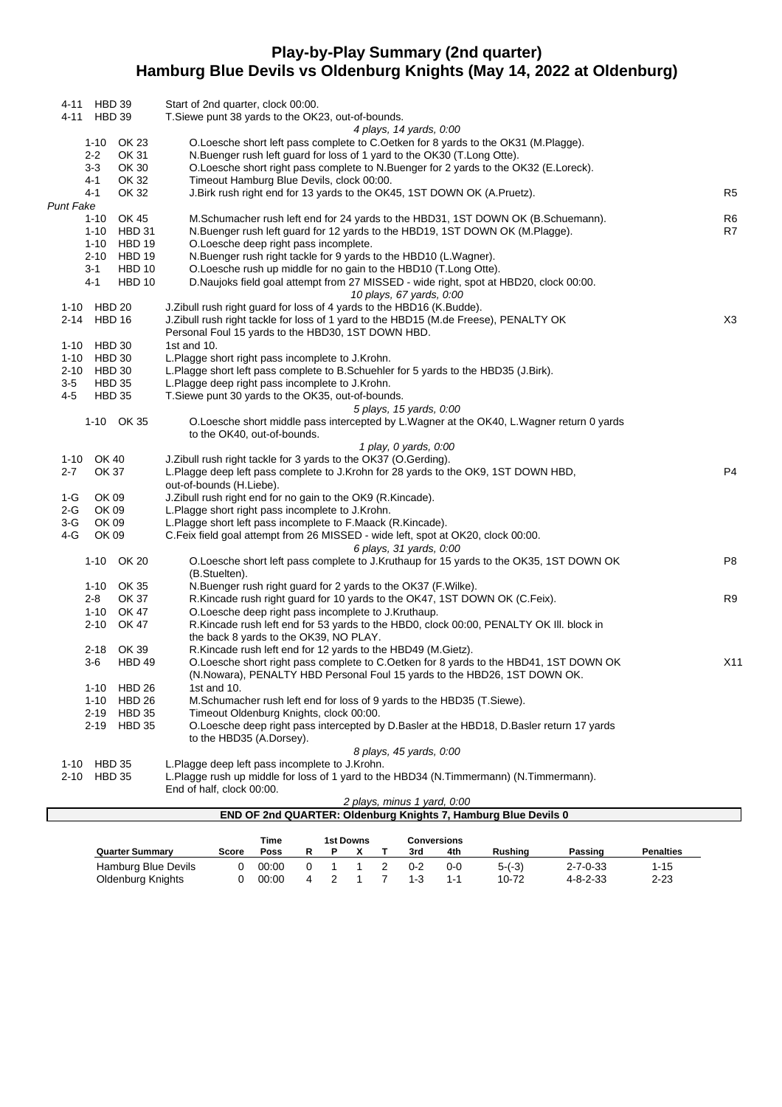# **Play-by-Play Summary (2nd quarter) Hamburg Blue Devils vs Oldenburg Knights (May 14, 2022 at Oldenburg)**

|           | 4-11 HBD 39         |                              | Start of 2nd quarter, clock 00:00.                                                                                                                    |                 |
|-----------|---------------------|------------------------------|-------------------------------------------------------------------------------------------------------------------------------------------------------|-----------------|
|           | 4-11 HBD 39         |                              | T. Siewe punt 38 yards to the OK23, out-of-bounds.                                                                                                    |                 |
|           |                     |                              | 4 plays, 14 yards, 0:00                                                                                                                               |                 |
|           | 1-10                | OK 23                        | O.Loesche short left pass complete to C.Oetken for 8 yards to the OK31 (M.Plagge).                                                                    |                 |
|           | 2-2                 | OK 31                        | N.Buenger rush left guard for loss of 1 yard to the OK30 (T.Long Otte).                                                                               |                 |
|           | 3-3<br>4-1          | OK 30<br>OK 32               | O.Loesche short right pass complete to N.Buenger for 2 yards to the OK32 (E.Loreck).<br>Timeout Hamburg Blue Devils, clock 00:00.                     |                 |
|           | 4-1                 | OK 32                        | J. Birk rush right end for 13 yards to the OK45, 1ST DOWN OK (A. Pruetz).                                                                             | R <sub>5</sub>  |
| Punt Fake |                     |                              |                                                                                                                                                       |                 |
|           | 1-10                | OK 45                        | M.Schumacher rush left end for 24 yards to the HBD31, 1ST DOWN OK (B.Schuemann).                                                                      | R <sub>6</sub>  |
|           | 1-10                | HBD 31                       | N.Buenger rush left guard for 12 yards to the HBD19, 1ST DOWN OK (M.Plagge).                                                                          | R7              |
|           |                     | 1-10 HBD 19                  | O.Loesche deep right pass incomplete.                                                                                                                 |                 |
|           |                     | 2-10 HBD 19                  | N.Buenger rush right tackle for 9 yards to the HBD10 (L.Wagner).                                                                                      |                 |
|           | 3-1                 | <b>HBD 10</b>                | O.Loesche rush up middle for no gain to the HBD10 (T.Long Otte).                                                                                      |                 |
|           | 4-1                 | HBD 10                       | D. Naujoks field goal attempt from 27 MISSED - wide right, spot at HBD20, clock 00:00.                                                                |                 |
|           |                     |                              | 10 plays, 67 yards, 0:00                                                                                                                              |                 |
|           | 1-10 HBD 20         |                              | J. Zibull rush right guard for loss of 4 yards to the HBD16 (K. Budde).                                                                               |                 |
|           | 2-14 HBD 16         |                              | J. Zibull rush right tackle for loss of 1 yard to the HBD15 (M.de Freese), PENALTY OK<br>Personal Foul 15 yards to the HBD30, 1ST DOWN HBD.           | X <sub>3</sub>  |
|           | 1-10 HBD 30         |                              | 1st and $10$ .                                                                                                                                        |                 |
|           | 1-10 HBD 30         |                              | L.Plagge short right pass incomplete to J.Krohn.                                                                                                      |                 |
|           | 2-10 HBD 30         |                              | L.Plagge short left pass complete to B.Schuehler for 5 yards to the HBD35 (J.Birk).                                                                   |                 |
| $3-5$     | <b>HBD 35</b>       |                              | L.Plagge deep right pass incomplete to J.Krohn.                                                                                                       |                 |
| 4-5       | <b>HBD 35</b>       |                              | T.Siewe punt 30 yards to the OK35, out-of-bounds.                                                                                                     |                 |
|           |                     |                              | 5 plays, 15 yards, 0:00                                                                                                                               |                 |
|           |                     | 1-10 OK 35                   | O.Loesche short middle pass intercepted by L.Wagner at the OK40, L.Wagner return 0 yards                                                              |                 |
|           |                     |                              | to the OK40, out-of-bounds.                                                                                                                           |                 |
|           |                     |                              | 1 play, 0 yards, 0:00                                                                                                                                 |                 |
| $2 - 7$   | 1-10 OK 40<br>OK 37 |                              | J.Zibull rush right tackle for 3 yards to the OK37 (O.Gerding).<br>L.Plagge deep left pass complete to J.Krohn for 28 yards to the OK9, 1ST DOWN HBD, | P <sub>4</sub>  |
|           |                     |                              | out-of-bounds (H.Liebe).                                                                                                                              |                 |
| 1-G       | OK 09               |                              | J. Zibull rush right end for no gain to the OK9 (R. Kincade).                                                                                         |                 |
| 2-G       | OK 09               |                              | L.Plagge short right pass incomplete to J.Krohn.                                                                                                      |                 |
| $3-G$     | OK 09               |                              | L.Plagge short left pass incomplete to F.Maack (R.Kincade).                                                                                           |                 |
| 4-G       | OK 09               |                              | C.Feix field goal attempt from 26 MISSED - wide left, spot at OK20, clock 00:00.                                                                      |                 |
|           |                     |                              | 6 plays, 31 yards, 0.00                                                                                                                               |                 |
|           |                     | 1-10 OK 20                   | O.Loesche short left pass complete to J.Kruthaup for 15 yards to the OK35, 1ST DOWN OK                                                                | P <sub>8</sub>  |
|           |                     | 1-10 OK 35                   | (B.Stuelten).                                                                                                                                         |                 |
|           | 2-8                 | OK 37                        | N.Buenger rush right guard for 2 yards to the OK37 (F.Wilke).<br>R.Kincade rush right guard for 10 yards to the OK47, 1ST DOWN OK (C.Feix).           | R <sub>9</sub>  |
|           |                     | 1-10 OK 47                   | O.Loesche deep right pass incomplete to J.Kruthaup.                                                                                                   |                 |
|           | 2-10                | OK 47                        | R.Kincade rush left end for 53 yards to the HBD0, clock 00:00, PENALTY OK III. block in                                                               |                 |
|           |                     |                              | the back 8 yards to the OK39, NO PLAY.                                                                                                                |                 |
|           |                     | 2-18 OK 39                   | R.Kincade rush left end for 12 yards to the HBD49 (M.Gietz).                                                                                          |                 |
|           | 3-6                 | HBD 49                       | O.Loesche short right pass complete to C.Oetken for 8 yards to the HBD41, 1ST DOWN OK                                                                 | X <sub>11</sub> |
|           |                     |                              | (N.Nowara), PENALTY HBD Personal Foul 15 yards to the HBD26, 1ST DOWN OK.                                                                             |                 |
|           |                     | 1-10 HBD 26                  | 1st and 10.                                                                                                                                           |                 |
|           |                     | 1-10 HBD 26                  | M.Schumacher rush left end for loss of 9 yards to the HBD35 (T.Siewe).                                                                                |                 |
|           | 2-19                | <b>HBD 35</b><br>2-19 HBD 35 | Timeout Oldenburg Knights, clock 00:00.                                                                                                               |                 |
|           |                     |                              | O.Loesche deep right pass intercepted by D.Basler at the HBD18, D.Basler return 17 yards<br>to the HBD35 (A.Dorsey).                                  |                 |
|           |                     |                              | 8 plays, 45 yards, 0:00                                                                                                                               |                 |
|           | 1-10 HBD 35         |                              | L.Plagge deep left pass incomplete to J.Krohn.                                                                                                        |                 |
|           | 2-10 HBD 35         |                              | L.Plagge rush up middle for loss of 1 yard to the HBD34 (N.Timmermann) (N.Timmermann).                                                                |                 |
|           |                     |                              | End of half, clock 00:00.                                                                                                                             |                 |
|           |                     |                              | 2 plays, minus 1 yard, 0:00                                                                                                                           |                 |
|           |                     |                              | END OF 2nd QUARTER: Oldenburg Knights 7, Hamburg Blue Devils 0                                                                                        |                 |

|                        |       | Time  |   | 1st Downs |         | Conversions |         |                  |                  |
|------------------------|-------|-------|---|-----------|---------|-------------|---------|------------------|------------------|
| <b>Quarter Summary</b> | Score | Poss  |   |           | 3rd     | 4th         | Rushina | Passing          | <b>Penalties</b> |
| Hamburg Blue Devils    |       | 00:00 |   |           | $0 - 2$ | $0 - 0$     | $5-(3)$ | $2 - 7 - 0 - 33$ | 1-15             |
| Oldenburg Knights      |       | 00:00 | 4 |           | $1 - 3$ |             | 10-72   | $4 - 8 - 2 - 33$ | $2 - 23$         |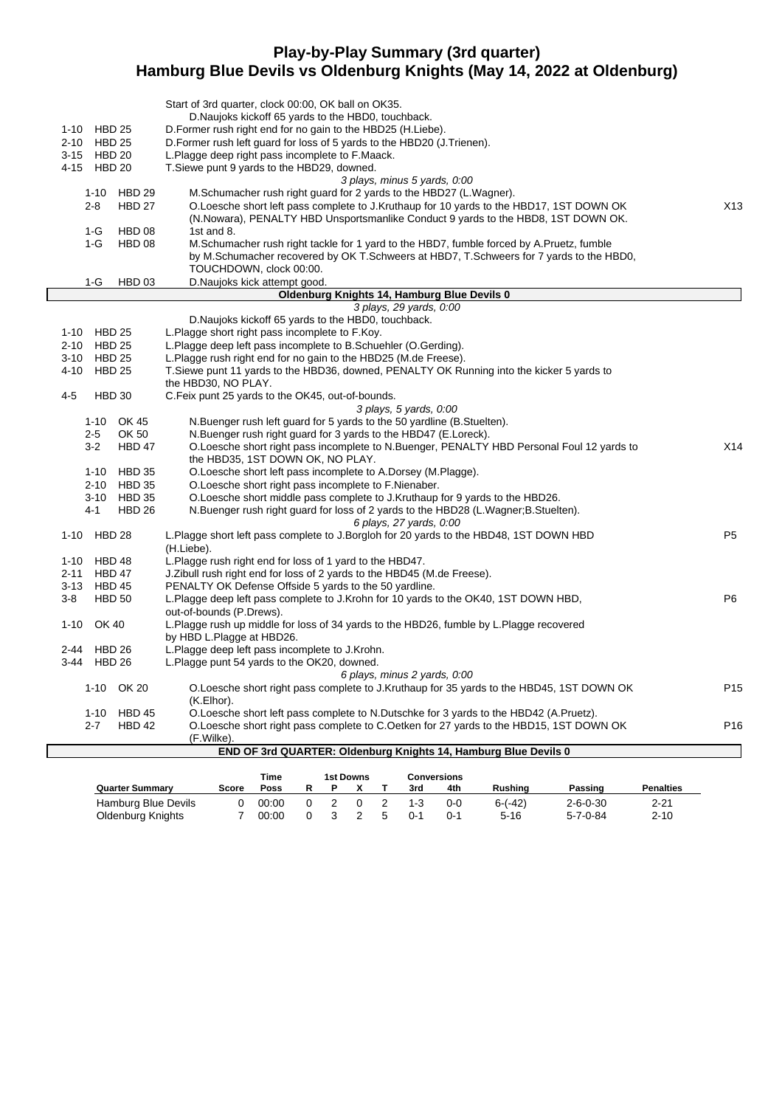## **Play-by-Play Summary (3rd quarter) Hamburg Blue Devils vs Oldenburg Knights (May 14, 2022 at Oldenburg)**

| 1-10 HBD 25<br>2-10 HBD 25<br>3-15 HBD 20             | Start of 3rd quarter, clock 00:00, OK ball on OK35.<br>D. Naujoks kickoff 65 yards to the HBD0, touchback.<br>D. Former rush right end for no gain to the HBD25 (H. Liebe).<br>D. Former rush left guard for loss of 5 yards to the HBD20 (J. Trienen).<br>L. Plagge deep right pass incomplete to F. Maack. |                 |
|-------------------------------------------------------|--------------------------------------------------------------------------------------------------------------------------------------------------------------------------------------------------------------------------------------------------------------------------------------------------------------|-----------------|
| 4-15 HBD 20                                           | T.Siewe punt 9 yards to the HBD29, downed.                                                                                                                                                                                                                                                                   |                 |
| <b>HBD 29</b><br>$1 - 10$<br><b>HBD 27</b><br>$2 - 8$ | 3 plays, minus 5 yards, 0:00<br>M.Schumacher rush right guard for 2 yards to the HBD27 (L.Wagner).<br>O.Loesche short left pass complete to J.Kruthaup for 10 yards to the HBD17, 1ST DOWN OK<br>(N. Nowara), PENALTY HBD Unsportsmanlike Conduct 9 yards to the HBD8, 1ST DOWN OK.                          | X13             |
| $1-G$<br>HBD 08                                       | 1st and 8.                                                                                                                                                                                                                                                                                                   |                 |
| $1-G$<br>HBD 08                                       | M. Schumacher rush right tackle for 1 yard to the HBD7, fumble forced by A. Pruetz, fumble<br>by M.Schumacher recovered by OK T.Schweers at HBD7, T.Schweers for 7 yards to the HBD0,                                                                                                                        |                 |
|                                                       | TOUCHDOWN, clock 00:00.                                                                                                                                                                                                                                                                                      |                 |
| 1-G<br>HBD 03                                         | D. Naujoks kick attempt good.                                                                                                                                                                                                                                                                                |                 |
|                                                       | Oldenburg Knights 14, Hamburg Blue Devils 0<br>3 plays, 29 yards, 0:00                                                                                                                                                                                                                                       |                 |
|                                                       | D. Naujoks kickoff 65 yards to the HBD0, touchback.                                                                                                                                                                                                                                                          |                 |
| 1-10 HBD 25                                           | L.Plagge short right pass incomplete to F.Koy.                                                                                                                                                                                                                                                               |                 |
| 2-10 HBD 25                                           | L. Plagge deep left pass incomplete to B. Schuehler (O. Gerding).                                                                                                                                                                                                                                            |                 |
| 3-10 HBD 25                                           | L.Plagge rush right end for no gain to the HBD25 (M.de Freese).                                                                                                                                                                                                                                              |                 |
| 4-10<br><b>HBD 25</b>                                 | T. Siewe punt 11 yards to the HBD36, downed, PENALTY OK Running into the kicker 5 yards to                                                                                                                                                                                                                   |                 |
|                                                       | the HBD30, NO PLAY.                                                                                                                                                                                                                                                                                          |                 |
| $4 - 5$<br><b>HBD 30</b>                              | C.Feix punt 25 yards to the OK45, out-of-bounds.                                                                                                                                                                                                                                                             |                 |
|                                                       | 3 plays, 5 yards, 0:00                                                                                                                                                                                                                                                                                       |                 |
| 1-10 OK 45                                            | N.Buenger rush left guard for 5 yards to the 50 yardline (B.Stuelten).                                                                                                                                                                                                                                       |                 |
| $2 - 5$<br>OK 50                                      | N.Buenger rush right guard for 3 yards to the HBD47 (E.Loreck).                                                                                                                                                                                                                                              |                 |
| $3-2$<br>HBD 47                                       | O.Loesche short right pass incomplete to N.Buenger, PENALTY HBD Personal Foul 12 yards to<br>the HBD35, 1ST DOWN OK, NO PLAY.                                                                                                                                                                                | X14             |
| 1-10 HBD 35                                           | O.Loesche short left pass incomplete to A.Dorsey (M.Plagge).                                                                                                                                                                                                                                                 |                 |
| 2-10 HBD 35                                           | O.Loesche short right pass incomplete to F.Nienaber.                                                                                                                                                                                                                                                         |                 |
| 3-10 HBD 35                                           | O. Loesche short middle pass complete to J. Kruthaup for 9 yards to the HBD26.                                                                                                                                                                                                                               |                 |
| $4 - 1$<br><b>HBD 26</b>                              | N.Buenger rush right guard for loss of 2 yards to the HBD28 (L.Wagner;B.Stuelten).                                                                                                                                                                                                                           |                 |
| 1-10 HBD 28                                           | 6 plays, 27 yards, 0:00<br>L.Plagge short left pass complete to J.Borgloh for 20 yards to the HBD48, 1ST DOWN HBD<br>(H.Liebe).                                                                                                                                                                              | P <sub>5</sub>  |
| HBD 48<br>1-10                                        | L. Plagge rush right end for loss of 1 yard to the HBD47.                                                                                                                                                                                                                                                    |                 |
| <b>HBD 47</b><br>$2 - 11$                             | J. Zibull rush right end for loss of 2 yards to the HBD45 (M.de Freese).                                                                                                                                                                                                                                     |                 |
| HBD 45<br>$3 - 13$                                    | PENALTY OK Defense Offside 5 yards to the 50 yardline.                                                                                                                                                                                                                                                       |                 |
| $3-8$<br><b>HBD 50</b>                                | L.Plagge deep left pass complete to J.Krohn for 10 yards to the OK40, 1ST DOWN HBD,                                                                                                                                                                                                                          | P <sub>6</sub>  |
|                                                       | out-of-bounds (P.Drews).                                                                                                                                                                                                                                                                                     |                 |
| $1 - 10$<br>OK 40                                     | L. Plagge rush up middle for loss of 34 yards to the HBD26, fumble by L. Plagge recovered<br>by HBD L.Plagge at HBD26.                                                                                                                                                                                       |                 |
| 2-44<br>HBD 26                                        | L.Plagge deep left pass incomplete to J.Krohn.                                                                                                                                                                                                                                                               |                 |
| <b>HBD 26</b><br>3-44                                 | L.Plagge punt 54 yards to the OK20, downed.                                                                                                                                                                                                                                                                  |                 |
|                                                       | 6 plays, minus 2 yards, 0:00                                                                                                                                                                                                                                                                                 |                 |
| 1-10 OK 20                                            | O. Loesche short right pass complete to J. Kruthaup for 35 yards to the HBD45, 1ST DOWN OK<br>(K.Elhor).                                                                                                                                                                                                     | P <sub>15</sub> |
| 1-10 HBD 45                                           | O. Loesche short left pass complete to N. Dutschke for 3 yards to the HBD42 (A. Pruetz).                                                                                                                                                                                                                     |                 |
| $2 - 7$<br>HBD 42                                     | O. Loesche short right pass complete to C. Oetken for 27 yards to the HBD15, 1ST DOWN OK                                                                                                                                                                                                                     | P <sub>16</sub> |
|                                                       | (F.Wilke)                                                                                                                                                                                                                                                                                                    |                 |
|                                                       | <b>END OF 3rd QUARTER: Oldenburg Knights 14, Hamburg Blue Devils 0</b>                                                                                                                                                                                                                                       |                 |
|                                                       |                                                                                                                                                                                                                                                                                                              |                 |

|                        |       | Time  |  | 1st Downs |     | Conversions |           |                  |                  |
|------------------------|-------|-------|--|-----------|-----|-------------|-----------|------------------|------------------|
| <b>Quarter Summary</b> | Score | Poss  |  |           | 3rd | 4th         | Rushing   | Passing          | <b>Penalties</b> |
| Hamburg Blue Devils    |       | 00:00 |  |           |     | $0-0$       | $6-(-42)$ | $2 - 6 - 0 - 30$ | $2 - 21$         |
| Oldenburg Knights      |       | 00:00 |  |           | በ-1 | $0 - 1$     | $5 - 16$  | $5 - 7 - 0 - 84$ | $2 - 10$         |